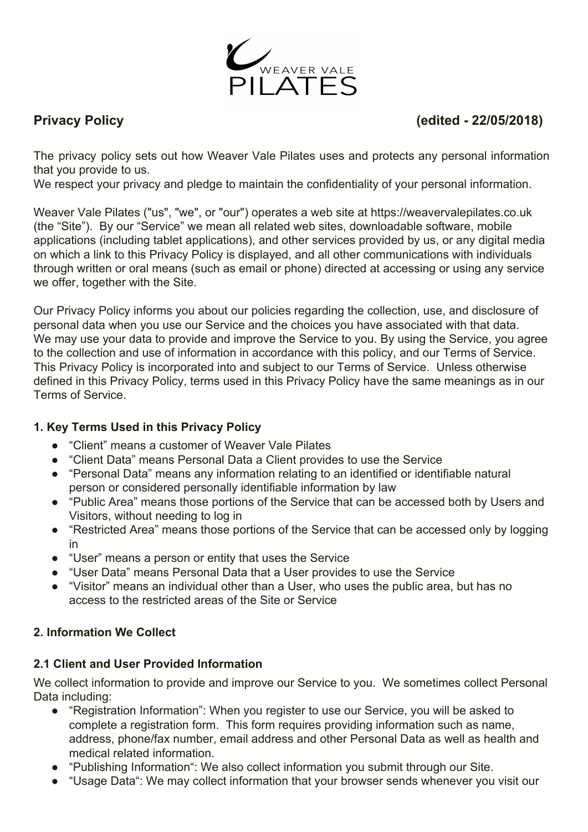

# **Privacy Policy (edited - 22/05/2018)**

The privacy policy sets out how Weaver Vale Pilates uses and protects any personal information that you provide to us.

We respect your privacy and pledge to maintain the confidentiality of your personal information.

Weaver Vale Pilates ("us", "we", or "our") operates a web site at https://weavervalepilates.co.uk (the "Site"). By our "Service" we mean all related web sites, downloadable software, mobile applications (including tablet applications), and other services provided by us, or any digital media on which a link to this Privacy Policy is displayed, and all other communications with individuals through written or oral means (such as email or phone) directed at accessing or using any service we offer, together with the Site.

Our Privacy Policy informs you about our policies regarding the collection, use, and disclosure of personal data when you use our Service and the choices you have associated with that data. We may use your data to provide and improve the Service to you. By using the Service, you agree to the collection and use of information in accordance with this policy, and our Terms of Service. This Privacy Policy is incorporated into and subject to our Terms of Service. Unless otherwise defined in this Privacy Policy, terms used in this Privacy Policy have the same meanings as in our Terms of Service.

## **1. Key Terms Used in this Privacy Policy**

- "Client" means a customer of Weaver Vale Pilates
- "Client Data" means Personal Data a Client provides to use the Service
- "Personal Data" means any information relating to an identified or identifiable natural person or considered personally identifiable information by law
- "Public Area" means those portions of the Service that can be accessed both by Users and Visitors, without needing to log in
- "Restricted Area" means those portions of the Service that can be accessed only by logging in
- "User" means a person or entity that uses the Service
- "User Data" means Personal Data that a User provides to use the Service
- "Visitor" means an individual other than a User, who uses the public area, but has no access to the restricted areas of the Site or Service

## **2. Information We Collect**

## **2.1 Client and User Provided Information**

We collect information to provide and improve our Service to you. We sometimes collect Personal Data including:

- "Registration Information": When you register to use our Service, you will be asked to complete a registration form. This form requires providing information such as name, address, phone/fax number, email address and other Personal Data as well as health and medical related information.
- "Publishing Information": We also collect information you submit through our Site.
- "Usage Data": We may collect information that your browser sends whenever you visit our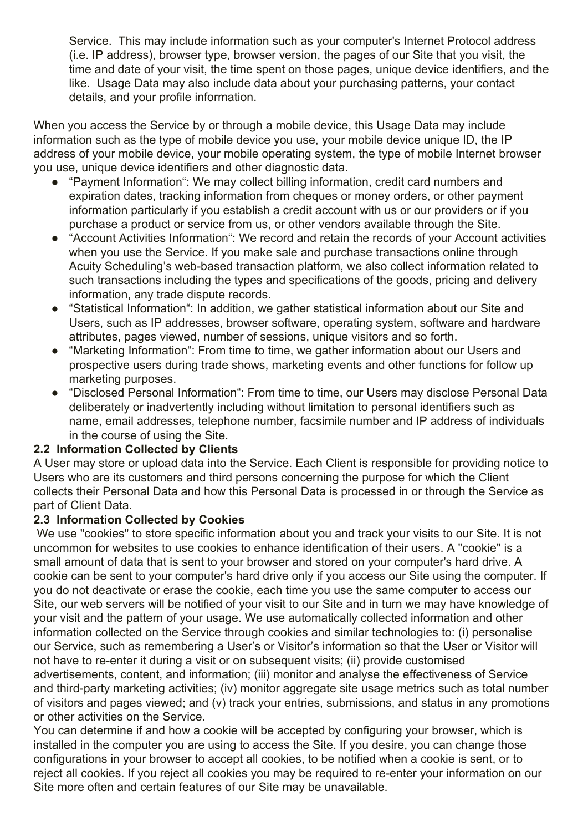Service. This may include information such as your computer's Internet Protocol address (i.e. IP address), browser type, browser version, the pages of our Site that you visit, the time and date of your visit, the time spent on those pages, unique device identifiers, and the like. Usage Data may also include data about your purchasing patterns, your contact details, and your profile information.

When you access the Service by or through a mobile device, this Usage Data may include information such as the type of mobile device you use, your mobile device unique ID, the IP address of your mobile device, your mobile operating system, the type of mobile Internet browser you use, unique device identifiers and other diagnostic data.

- "Payment Information": We may collect billing information, credit card numbers and expiration dates, tracking information from cheques or money orders, or other payment information particularly if you establish a credit account with us or our providers or if you purchase a product or service from us, or other vendors available through the Site.
- "Account Activities Information": We record and retain the records of your Account activities when you use the Service. If you make sale and purchase transactions online through Acuity Scheduling's web-based transaction platform, we also collect information related to such transactions including the types and specifications of the goods, pricing and delivery information, any trade dispute records.
- "Statistical Information": In addition, we gather statistical information about our Site and Users, such as IP addresses, browser software, operating system, software and hardware attributes, pages viewed, number of sessions, unique visitors and so forth.
- "Marketing Information": From time to time, we gather information about our Users and prospective users during trade shows, marketing events and other functions for follow up marketing purposes.
- "Disclosed Personal Information": From time to time, our Users may disclose Personal Data deliberately or inadvertently including without limitation to personal identifiers such as name, email addresses, telephone number, facsimile number and IP address of individuals in the course of using the Site.

#### **2.2 Information Collected by Clients**

A User may store or upload data into the Service. Each Client is responsible for providing notice to Users who are its customers and third persons concerning the purpose for which the Client collects their Personal Data and how this Personal Data is processed in or through the Service as part of Client Data.

#### **2.3 Information Collected by Cookies**

 We use "cookies" to store specific information about you and track your visits to our Site. It is not uncommon for websites to use cookies to enhance identification of their users. A "cookie" is a small amount of data that is sent to your browser and stored on your computer's hard drive. A cookie can be sent to your computer's hard drive only if you access our Site using the computer. If you do not deactivate or erase the cookie, each time you use the same computer to access our Site, our web servers will be notified of your visit to our Site and in turn we may have knowledge of your visit and the pattern of your usage. We use automatically collected information and other information collected on the Service through cookies and similar technologies to: (i) personalise our Service, such as remembering a User's or Visitor's information so that the User or Visitor will not have to re-enter it during a visit or on subsequent visits; (ii) provide customised advertisements, content, and information; (iii) monitor and analyse the effectiveness of Service and third-party marketing activities; (iv) monitor aggregate site usage metrics such as total number of visitors and pages viewed; and (v) track your entries, submissions, and status in any promotions or other activities on the Service.

You can determine if and how a cookie will be accepted by configuring your browser, which is installed in the computer you are using to access the Site. If you desire, you can change those configurations in your browser to accept all cookies, to be notified when a cookie is sent, or to reject all cookies. If you reject all cookies you may be required to re-enter your information on our Site more often and certain features of our Site may be unavailable.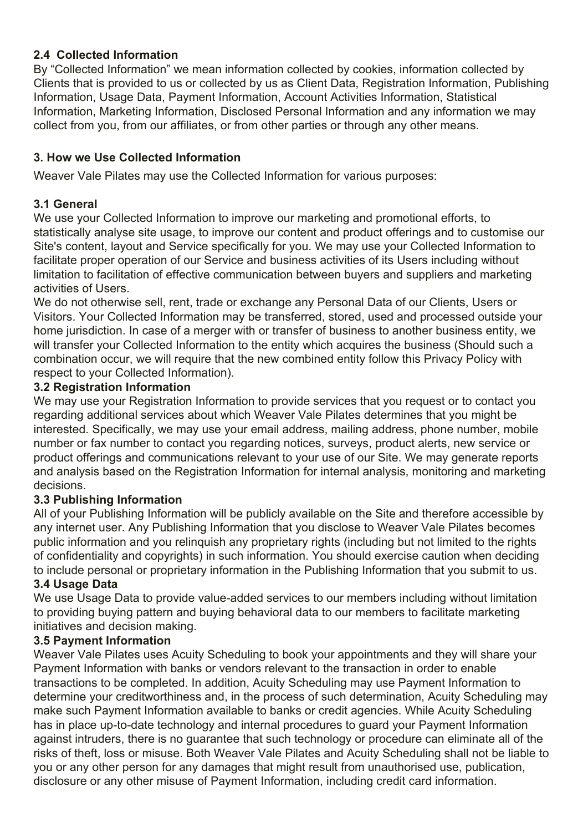## **2.4 Collected Information**

By "Collected Information" we mean information collected by cookies, information collected by Clients that is provided to us or collected by us as Client Data, Registration Information, Publishing Information, Usage Data, Payment Information, Account Activities Information, Statistical Information, Marketing Information, Disclosed Personal Information and any information we may collect from you, from our affiliates, or from other parties or through any other means.

## **3. How we Use Collected Information**

Weaver Vale Pilates may use the Collected Information for various purposes:

## **3.1 General**

We use your Collected Information to improve our marketing and promotional efforts, to statistically analyse site usage, to improve our content and product offerings and to customise our Site's content, layout and Service specifically for you. We may use your Collected Information to facilitate proper operation of our Service and business activities of its Users including without limitation to facilitation of effective communication between buyers and suppliers and marketing activities of Users.

We do not otherwise sell, rent, trade or exchange any Personal Data of our Clients, Users or Visitors. Your Collected Information may be transferred, stored, used and processed outside your home jurisdiction. In case of a merger with or transfer of business to another business entity, we will transfer your Collected Information to the entity which acquires the business (Should such a combination occur, we will require that the new combined entity follow this Privacy Policy with respect to your Collected Information).

## **3.2 Registration Information**

We may use your Registration Information to provide services that you request or to contact you regarding additional services about which Weaver Vale Pilates determines that you might be interested. Specifically, we may use your email address, mailing address, phone number, mobile number or fax number to contact you regarding notices, surveys, product alerts, new service or product offerings and communications relevant to your use of our Site. We may generate reports and analysis based on the Registration Information for internal analysis, monitoring and marketing decisions.

## **3.3 Publishing Information**

All of your Publishing Information will be publicly available on the Site and therefore accessible by any internet user. Any Publishing Information that you disclose to Weaver Vale Pilates becomes public information and you relinquish any proprietary rights (including but not limited to the rights of confidentiality and copyrights) in such information. You should exercise caution when deciding to include personal or proprietary information in the Publishing Information that you submit to us.

#### **3.4 Usage Data**

We use Usage Data to provide value-added services to our members including without limitation to providing buying pattern and buying behavioral data to our members to facilitate marketing initiatives and decision making.

#### **3.5 Payment Information**

Weaver Vale Pilates uses Acuity Scheduling to book your appointments and they will share your Payment Information with banks or vendors relevant to the transaction in order to enable transactions to be completed. In addition, Acuity Scheduling may use Payment Information to determine your creditworthiness and, in the process of such determination, Acuity Scheduling may make such Payment Information available to banks or credit agencies. While Acuity Scheduling has in place up-to-date technology and internal procedures to guard your Payment Information against intruders, there is no guarantee that such technology or procedure can eliminate all of the risks of theft, loss or misuse. Both Weaver Vale Pilates and Acuity Scheduling shall not be liable to you or any other person for any damages that might result from unauthorised use, publication, disclosure or any other misuse of Payment Information, including credit card information.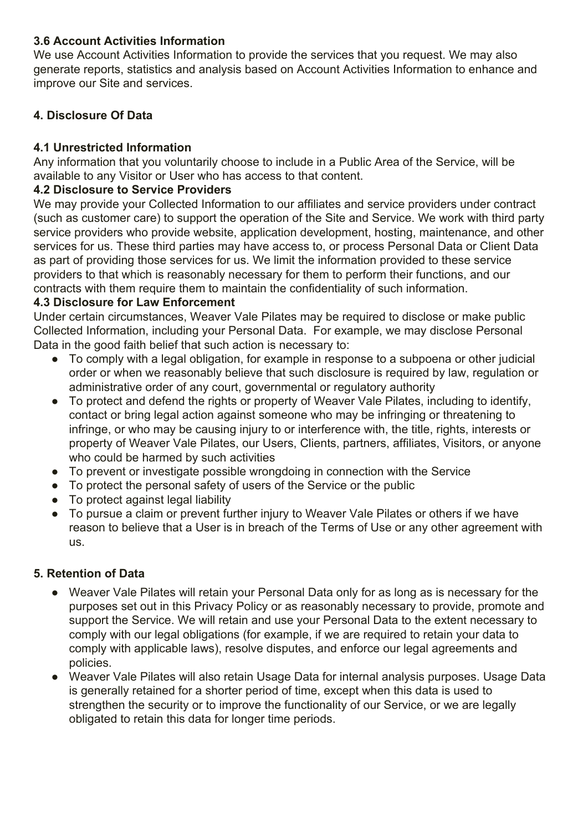## **3.6 Account Activities Information**

We use Account Activities Information to provide the services that you request. We may also generate reports, statistics and analysis based on Account Activities Information to enhance and improve our Site and services.

## **4. Disclosure Of Data**

## **4.1 Unrestricted Information**

Any information that you voluntarily choose to include in a Public Area of the Service, will be available to any Visitor or User who has access to that content.

#### **4.2 Disclosure to Service Providers**

We may provide your Collected Information to our affiliates and service providers under contract (such as customer care) to support the operation of the Site and Service. We work with third party service providers who provide website, application development, hosting, maintenance, and other services for us. These third parties may have access to, or process Personal Data or Client Data as part of providing those services for us. We limit the information provided to these service providers to that which is reasonably necessary for them to perform their functions, and our contracts with them require them to maintain the confidentiality of such information.

#### **4.3 Disclosure for Law Enforcement**

Under certain circumstances, Weaver Vale Pilates may be required to disclose or make public Collected Information, including your Personal Data. For example, we may disclose Personal Data in the good faith belief that such action is necessary to:

- To comply with a legal obligation, for example in response to a subpoena or other judicial order or when we reasonably believe that such disclosure is required by law, regulation or administrative order of any court, governmental or regulatory authority
- To protect and defend the rights or property of Weaver Vale Pilates, including to identify, contact or bring legal action against someone who may be infringing or threatening to infringe, or who may be causing injury to or interference with, the title, rights, interests or property of Weaver Vale Pilates, our Users, Clients, partners, affiliates, Visitors, or anyone who could be harmed by such activities
- To prevent or investigate possible wrongdoing in connection with the Service
- To protect the personal safety of users of the Service or the public
- To protect against legal liability
- To pursue a claim or prevent further injury to Weaver Vale Pilates or others if we have reason to believe that a User is in breach of the Terms of Use or any other agreement with us.

#### **5. Retention of Data**

- Weaver Vale Pilates will retain your Personal Data only for as long as is necessary for the purposes set out in this Privacy Policy or as reasonably necessary to provide, promote and support the Service. We will retain and use your Personal Data to the extent necessary to comply with our legal obligations (for example, if we are required to retain your data to comply with applicable laws), resolve disputes, and enforce our legal agreements and policies.
- Weaver Vale Pilates will also retain Usage Data for internal analysis purposes. Usage Data is generally retained for a shorter period of time, except when this data is used to strengthen the security or to improve the functionality of our Service, or we are legally obligated to retain this data for longer time periods.